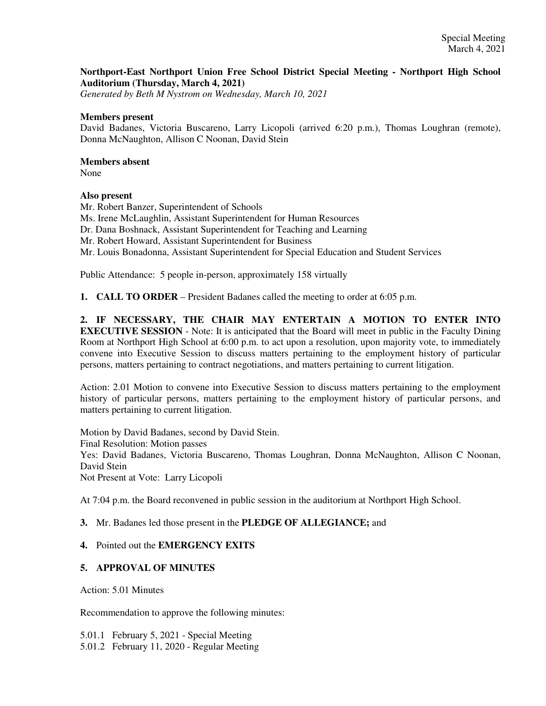## **Northport-East Northport Union Free School District Special Meeting - Northport High School Auditorium (Thursday, March 4, 2021)**

*Generated by Beth M Nystrom on Wednesday, March 10, 2021*

#### **Members present**

David Badanes, Victoria Buscareno, Larry Licopoli (arrived 6:20 p.m.), Thomas Loughran (remote), Donna McNaughton, Allison C Noonan, David Stein

### **Members absent**

None

## **Also present**

Mr. Robert Banzer, Superintendent of Schools Ms. Irene McLaughlin, Assistant Superintendent for Human Resources Dr. Dana Boshnack, Assistant Superintendent for Teaching and Learning Mr. Robert Howard, Assistant Superintendent for Business Mr. Louis Bonadonna, Assistant Superintendent for Special Education and Student Services

Public Attendance: 5 people in-person, approximately 158 virtually

**1. CALL TO ORDER** – President Badanes called the meeting to order at 6:05 p.m.

**2. IF NECESSARY, THE CHAIR MAY ENTERTAIN A MOTION TO ENTER INTO EXECUTIVE SESSION** - Note: It is anticipated that the Board will meet in public in the Faculty Dining Room at Northport High School at 6:00 p.m. to act upon a resolution, upon majority vote, to immediately convene into Executive Session to discuss matters pertaining to the employment history of particular persons, matters pertaining to contract negotiations, and matters pertaining to current litigation.

Action: 2.01 Motion to convene into Executive Session to discuss matters pertaining to the employment history of particular persons, matters pertaining to the employment history of particular persons, and matters pertaining to current litigation.

Motion by David Badanes, second by David Stein. Final Resolution: Motion passes Yes: David Badanes, Victoria Buscareno, Thomas Loughran, Donna McNaughton, Allison C Noonan, David Stein

Not Present at Vote: Larry Licopoli

At 7:04 p.m. the Board reconvened in public session in the auditorium at Northport High School.

## **3.** Mr. Badanes led those present in the **PLEDGE OF ALLEGIANCE;** and

## **4.** Pointed out the **EMERGENCY EXITS**

## **5. APPROVAL OF MINUTES**

Action: 5.01 Minutes

Recommendation to approve the following minutes:

5.01.1 February 5, 2021 - Special Meeting 5.01.2 February 11, 2020 - Regular Meeting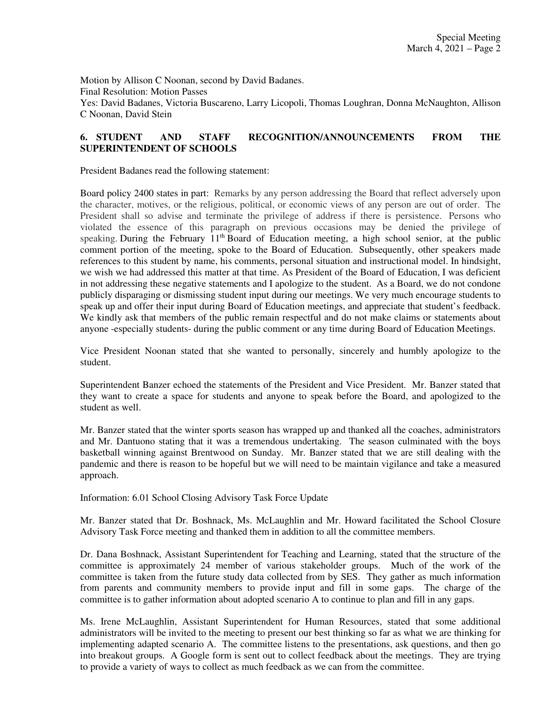Motion by Allison C Noonan, second by David Badanes. Final Resolution: Motion Passes Yes: David Badanes, Victoria Buscareno, Larry Licopoli, Thomas Loughran, Donna McNaughton, Allison C Noonan, David Stein

## **6. STUDENT AND STAFF RECOGNITION/ANNOUNCEMENTS FROM THE SUPERINTENDENT OF SCHOOLS**

President Badanes read the following statement:

Board policy 2400 states in part: Remarks by any person addressing the Board that reflect adversely upon the character, motives, or the religious, political, or economic views of any person are out of order. The President shall so advise and terminate the privilege of address if there is persistence. Persons who violated the essence of this paragraph on previous occasions may be denied the privilege of speaking. During the February  $11<sup>th</sup>$  Board of Education meeting, a high school senior, at the public comment portion of the meeting, spoke to the Board of Education. Subsequently, other speakers made references to this student by name, his comments, personal situation and instructional model. In hindsight, we wish we had addressed this matter at that time. As President of the Board of Education, I was deficient in not addressing these negative statements and I apologize to the student. As a Board, we do not condone publicly disparaging or dismissing student input during our meetings. We very much encourage students to speak up and offer their input during Board of Education meetings, and appreciate that student's feedback. We kindly ask that members of the public remain respectful and do not make claims or statements about anyone -especially students- during the public comment or any time during Board of Education Meetings.

Vice President Noonan stated that she wanted to personally, sincerely and humbly apologize to the student.

Superintendent Banzer echoed the statements of the President and Vice President. Mr. Banzer stated that they want to create a space for students and anyone to speak before the Board, and apologized to the student as well.

Mr. Banzer stated that the winter sports season has wrapped up and thanked all the coaches, administrators and Mr. Dantuono stating that it was a tremendous undertaking. The season culminated with the boys basketball winning against Brentwood on Sunday. Mr. Banzer stated that we are still dealing with the pandemic and there is reason to be hopeful but we will need to be maintain vigilance and take a measured approach.

Information: 6.01 School Closing Advisory Task Force Update

Mr. Banzer stated that Dr. Boshnack, Ms. McLaughlin and Mr. Howard facilitated the School Closure Advisory Task Force meeting and thanked them in addition to all the committee members.

Dr. Dana Boshnack, Assistant Superintendent for Teaching and Learning, stated that the structure of the committee is approximately 24 member of various stakeholder groups. Much of the work of the committee is taken from the future study data collected from by SES. They gather as much information from parents and community members to provide input and fill in some gaps. The charge of the committee is to gather information about adopted scenario A to continue to plan and fill in any gaps.

Ms. Irene McLaughlin, Assistant Superintendent for Human Resources, stated that some additional administrators will be invited to the meeting to present our best thinking so far as what we are thinking for implementing adapted scenario A. The committee listens to the presentations, ask questions, and then go into breakout groups. A Google form is sent out to collect feedback about the meetings. They are trying to provide a variety of ways to collect as much feedback as we can from the committee.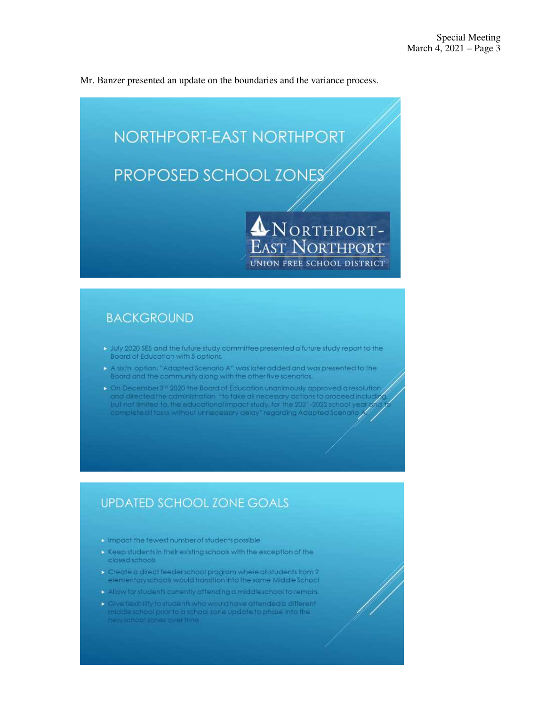Mr. Banzer presented an update on the boundaries and the variance process.



# **BACKGROUND**

- > July 2020 SES and the future study committee presented a future study report to the Board of Education with 5 options.
- A sixth option, "Adapted Scenario A" was later added and was presented to the Board and the community along with the other five scenarios.
- > On December 3<sup>to</sup> 2020 the Board of Education unanimously approved a resolution and directed the administration "to take all necessary actions to proceed includivi<br>but not limited to, the educational impact study, for the 2021-2022 school year of complete all tasks without unnecessary delay "regarding Adapted Scenario

# **UPDATED SCHOOL ZONE GOALS**

- **Impact the fewest number of students possible**
- > Keep students in their existing schools with the exception of the closed schools
- Create a direct feeder school program where all students from 2 elementary schools would transition into the same Middle School
- Allow for students currently attending a middleschool to remain.
- Cive flexibility to students who would have attended a different middle school prior to a school zone update to phase into the<br>new school zones overtime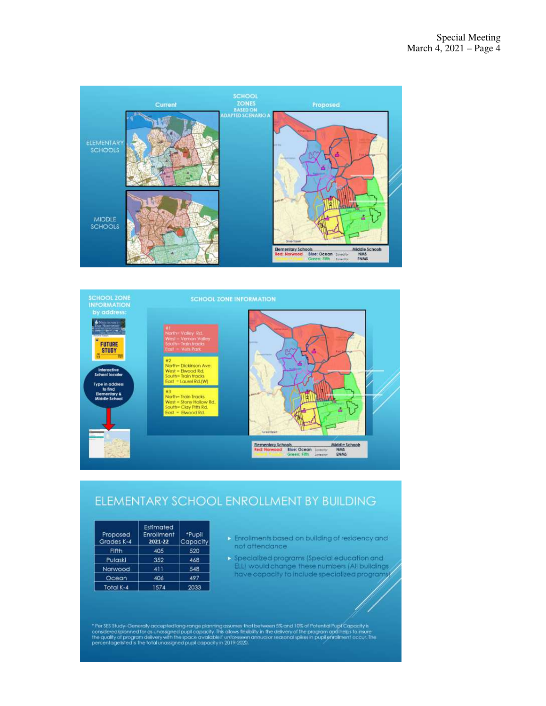



# ELEMENTARY SCHOOL ENROLLMENT BY BUILDING

| Proposed<br>Grades K-4 | Estimated<br>Enrollment<br>2021-22 | *Pupil<br>Capacity |
|------------------------|------------------------------------|--------------------|
| Fifth                  | 405                                | 520                |
| Pulaski                | 352                                | 468                |
| Norwood                | 411                                | 548                |
| Ocean                  | 406                                | 497                |
| Total K-4              | 1574                               | 2033               |

- Enrollments based on building of residency and not attendance:
- $\triangleright$  Specialized programs (Special education and ELL) would change these numbers (All buildings have capacity to include specialized programs

\* Per SES Study-Generally accepted long-range planning assumes that between 5% and 10% of Potential Pupt Capacity is<br>considered/plonned for as unassigned pupt capacity. This allows flexibility in the delivery of the progra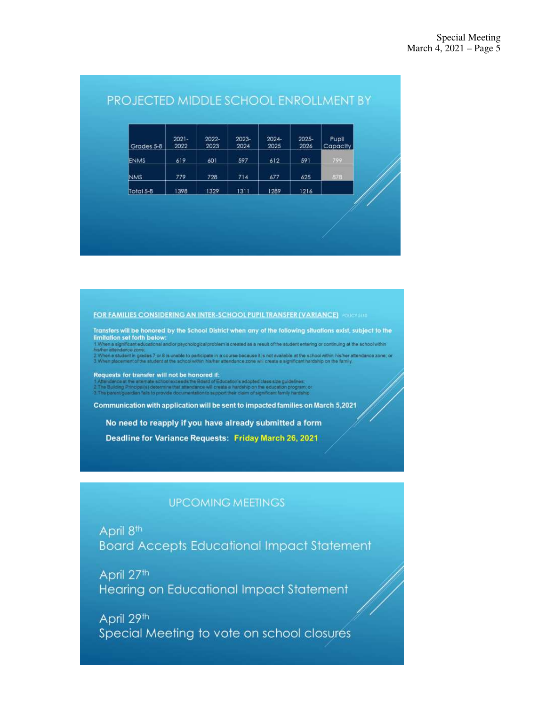| Grades 5-8 | $2021 -$<br>2022 | 2022-<br>2023 | 2023-<br>2024 | $2024 -$<br>2025 | 2025-<br>2026 | Pupil<br>Capacity |
|------------|------------------|---------------|---------------|------------------|---------------|-------------------|
| ENMS.      | 619              | 601           | 597           | 612              | 591           | 799               |
| <b>NMS</b> | 779              | 728           | 714           | 677              | 625           | 878               |
| Total 5-8  | 398              | 1329          | 1311          | 1289             | 1216          |                   |

# PROJECTED MIDDLE SCHOOL ENROLLMENT BY

#### **FOR FAMILIES CONSIDERING AN INTER-SCHOOL PUPIL TRANSFER (VARIANCE) POICY STID**

Transfers will be honored by the School District when any of the following situations exist, subject to the limitation set forth below:

influence and the second and/or psychological problem is created as a result of the student entering or continuing at the school within<br>∷Men's student in grades 7 or 8 is upable to participate in a course because it is no

Requests for transfer will not be honored if:

of Education's adopted class size guidelines. mine that attendance will create a hardship on the educatio to support their claim of significant family hard

Communication with application will be sent to impacted families on March 5,2021

No need to reapply if you have already submitted a form

Deadline for Variance Requests: Friday March 26, 2021

# **UPCOMING MEETINGS**

April 8<sup>th</sup> **Board Accepts Educational Impact Statement** 

April 27th Hearing on Educational Impact Statement

April 29th Special Meeting to vote on school closures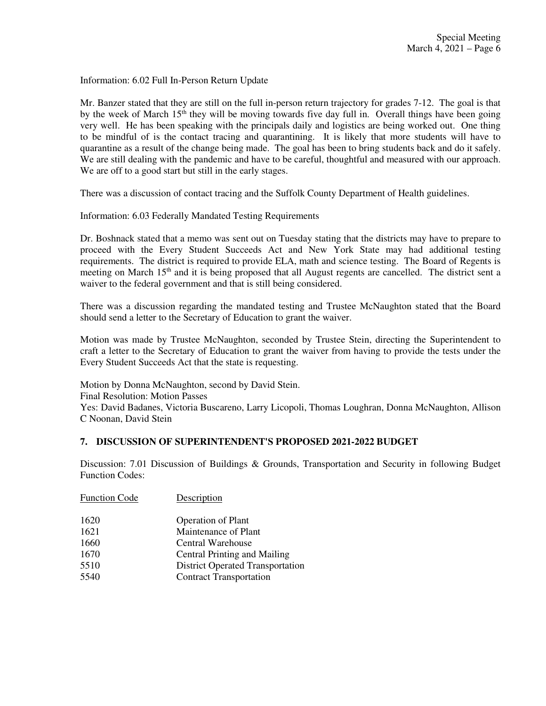Information: 6.02 Full In-Person Return Update

Mr. Banzer stated that they are still on the full in-person return trajectory for grades 7-12. The goal is that by the week of March  $15<sup>th</sup>$  they will be moving towards five day full in. Overall things have been going very well. He has been speaking with the principals daily and logistics are being worked out. One thing to be mindful of is the contact tracing and quarantining. It is likely that more students will have to quarantine as a result of the change being made. The goal has been to bring students back and do it safely. We are still dealing with the pandemic and have to be careful, thoughtful and measured with our approach. We are off to a good start but still in the early stages.

There was a discussion of contact tracing and the Suffolk County Department of Health guidelines.

Information: 6.03 Federally Mandated Testing Requirements

Dr. Boshnack stated that a memo was sent out on Tuesday stating that the districts may have to prepare to proceed with the Every Student Succeeds Act and New York State may had additional testing requirements. The district is required to provide ELA, math and science testing. The Board of Regents is meeting on March  $15<sup>th</sup>$  and it is being proposed that all August regents are cancelled. The district sent a waiver to the federal government and that is still being considered.

There was a discussion regarding the mandated testing and Trustee McNaughton stated that the Board should send a letter to the Secretary of Education to grant the waiver.

Motion was made by Trustee McNaughton, seconded by Trustee Stein, directing the Superintendent to craft a letter to the Secretary of Education to grant the waiver from having to provide the tests under the Every Student Succeeds Act that the state is requesting.

Motion by Donna McNaughton, second by David Stein. Final Resolution: Motion Passes Yes: David Badanes, Victoria Buscareno, Larry Licopoli, Thomas Loughran, Donna McNaughton, Allison

C Noonan, David Stein

## **7. DISCUSSION OF SUPERINTENDENT'S PROPOSED 2021-2022 BUDGET**

Discussion: 7.01 Discussion of Buildings & Grounds, Transportation and Security in following Budget Function Codes:

| Description                             |
|-----------------------------------------|
| <b>Operation of Plant</b>               |
| Maintenance of Plant                    |
| Central Warehouse                       |
| <b>Central Printing and Mailing</b>     |
| <b>District Operated Transportation</b> |
| <b>Contract Transportation</b>          |
|                                         |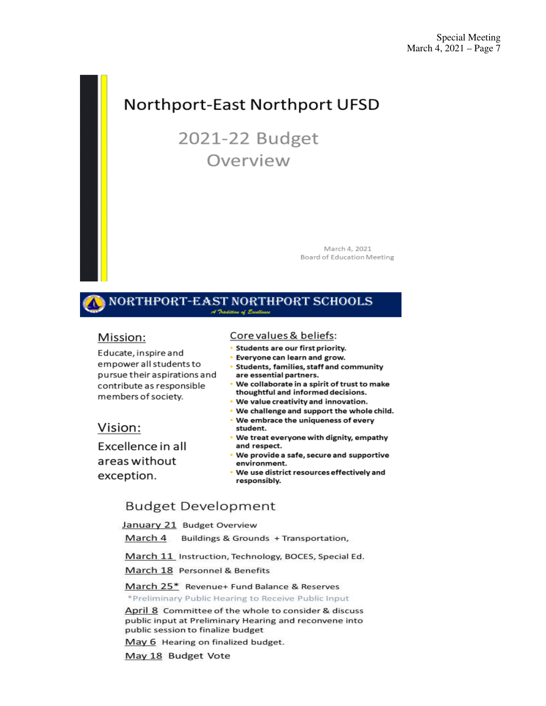# **Northport-East Northport UFSD**

# 2021-22 Budget Overview

March 4, 2021 Board of Education Meeting

#### NORTHPORT-EAST NORTHPORT SCHOOLS A Tradition of Excellence

# Mission:

Educate, inspire and empower all students to pursue their aspirations and contribute as responsible members of society.

# Vision:

Excellence in all areas without exception.

### Core values & beliefs:

- · Students are our first priority.
- Everyone can learn and grow.
- Students, families, staff and community are essential partners.
- . We collaborate in a spirit of trust to make thoughtful and informed decisions.
- . We value creativity and innovation.
- . We challenge and support the whole child.
- . We embrace the uniqueness of every student.
- . We treat everyone with dignity, empathy and respect.
- . We provide a safe, secure and supportive environment.
- . We use district resources effectively and responsibly.

# **Budget Development**

January 21 Budget Overview

March 4 Buildings & Grounds + Transportation,

March 11 Instruction, Technology, BOCES, Special Ed.

March 18 Personnel & Benefits

#### March 25\* Revenue+ Fund Balance & Reserves

\*Preliminary Public Hearing to Receive Public Input

April 8 Committee of the whole to consider & discuss public input at Preliminary Hearing and reconvene into public session to finalize budget

May 6 Hearing on finalized budget.

May 18 Budget Vote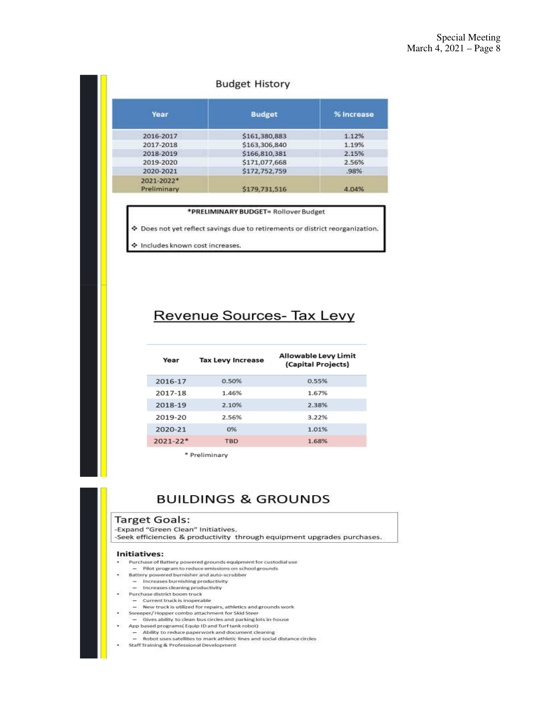## **Budget History**

| Year                      | <b>Budget</b> | % Increase |  |
|---------------------------|---------------|------------|--|
| 2016-2017                 | \$161,380,883 | 1.12%      |  |
| 2017-2018                 | \$163,306,840 | 1.19%      |  |
| 2018-2019                 | \$166,810,381 | 2.15%      |  |
| 2019-2020                 | \$171,077,668 | 2.56%      |  |
| 2020-2021                 | \$172,752,759 | 98%        |  |
| 2021-2022*<br>Preliminary | \$179,731,516 | 4.04%      |  |

| *PRELIMINARY BUDGET= Rollover Budget                                          |  |  |  |  |
|-------------------------------------------------------------------------------|--|--|--|--|
| ♦ Does not yet reflect savings due to retirements or district reorganization. |  |  |  |  |
| Includes known cost increases.                                                |  |  |  |  |

# Revenue Sources- Tax Levy

| Year         | <b>Tax Levy Increase</b> | Allowable Levy Limit<br>(Capital Projects) |
|--------------|--------------------------|--------------------------------------------|
| 2016-17      | 0.50%                    | 0.55%                                      |
| 2017-18      | 1.46%                    | 1.67%                                      |
| 2018-19      | 2.10%                    | 2.38%                                      |
| 2019-20      | 2.56%                    | 3.22%                                      |
| 2020-21      | 0%                       | 1.01%                                      |
| $2021 - 22*$ | <b>TBD</b>               | 1.68%                                      |
|              |                          |                                            |

\* Preliminary

# **BUILDINGS & GROUNDS**

#### **Target Goals:**

-Expand "Green Clean" Initiatives.

-Seek efficiencies & productivity through equipment upgrades purchases.

#### Initiatives:

- Purchase of Battery powered grounds equipment for custodial use
- $-$  Pilot program to reduce emissions on school grounds Battery powered burnisher and auto-scrubber
- 
- 
- 
- Current truck is inoperable<br>- Current truck is inoperable<br>- New truck is utilized for repairs, athletics and grounds work
- Sweeper/ Hopper combo attachment for Skid Steer<br>- Gives ability to clean bus circles and parking lots in-house
- 
- App based programs (Equip ID and Turf tank robot)
- Ability to reduce paperwork and document cleaning<br>- Robot uses satellites to mark athletic lines and social distance circles
- Staff Training & Professional Development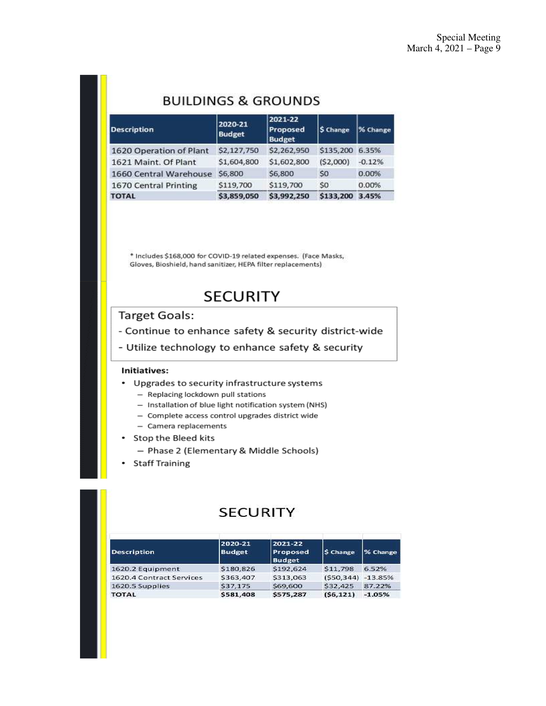# **BUILDINGS & GROUNDS**

| <b>Description</b>      | 2020-21<br><b>Budget</b> | 2021-22<br>Proposed<br><b>Budget</b> | S Change        | % Change |
|-------------------------|--------------------------|--------------------------------------|-----------------|----------|
| 1620 Operation of Plant | \$2,127,750              | \$2,262,950                          | \$135,200 6.35% |          |
| 1621 Maint, Of Plant    | \$1,604,800              | \$1,602,800                          | (52,000)        | $-0.12%$ |
| 1660 Central Warehouse  | \$6,800                  | \$6,800                              | S <sub>0</sub>  | 0.00%    |
| 1670 Central Printing   | \$119,700                | \$119,700                            | S <sub>0</sub>  | 0.00%    |
| <b>TOTAL</b>            | \$3,859,050              | \$3,992,250                          | \$133,200       | 3.45%    |

\* Includes \$168,000 for COVID-19 related expenses. (Face Masks, Gloves, Bioshield, hand sanitizer, HEPA filter replacements)

# **SECURITY**

# **Target Goals:**

- Continue to enhance safety & security district-wide
- Utilize technology to enhance safety & security

#### Initiatives:

- Upgrades to security infrastructure systems
	- Replacing lockdown pull stations
	- Installation of blue light notification system (NHS)
	- Complete access control upgrades district wide
	- Camera replacements
- Stop the Bleed kits
	- Phase 2 (Elementary & Middle Schools)
- Staff Training

# **SECURITY**

| <b>Description</b>       | 2020-21<br><b>Budget</b> | 2021-22<br><b>Proposed</b><br><b>Budget</b> | <b>S</b> Change | % Change  |
|--------------------------|--------------------------|---------------------------------------------|-----------------|-----------|
| 1620.2 Equipment         | \$180,826                | \$192,624                                   | \$11,798        | 6.52%     |
| 1620.4 Contract Services | \$363,407                | \$313,063                                   | (550.344)       | $-13.85%$ |
| 1620.5 Supplies          | \$37,175                 | \$69,600                                    | <b>S32,425</b>  | 87.22%    |
| <b>TOTAL</b>             | \$581,408                | \$575,287                                   | (S6, 121)       | $-1.05%$  |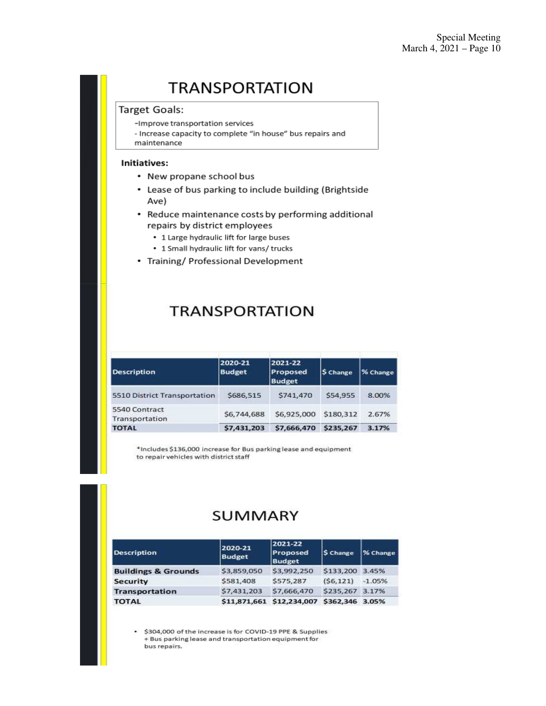# **TRANSPORTATION**

## **Target Goals:**

-Improve transportation services

- Increase capacity to complete "in house" bus repairs and maintenance

#### Initiatives:

- New propane school bus
- Lease of bus parking to include building (Brightside Ave)
- Reduce maintenance costs by performing additional repairs by district employees
	- 1 Large hydraulic lift for large buses
	- 1 Small hydraulic lift for vans/ trucks
- Training/ Professional Development

# **TRANSPORTATION**

| <b>Description</b>              | 2020-21<br><b>Budget</b> | 2021-22<br>Proposed<br><b>Budget</b> | \$ Change | % Change |
|---------------------------------|--------------------------|--------------------------------------|-----------|----------|
| 5510 District Transportation    | \$686,515                | \$741,470                            | \$54.955  | 8.00%    |
| 5540 Contract<br>Transportation | \$6,744,688              | \$6,925,000                          | \$180,312 | 2.67%    |
| <b>TOTAL</b>                    | \$7,431,203              | \$7,666,470                          | \$235,267 | 3.17%    |

\*Includes \$136,000 increase for Bus parking lease and equipment to repair vehicles with district staff

# **SUMMARY**

| <b>Description</b>             | 2020-21<br><b>Budget</b> | 2021-22<br>Proposed<br><b>Budget</b> | S Change        | % Change |
|--------------------------------|--------------------------|--------------------------------------|-----------------|----------|
| <b>Buildings &amp; Grounds</b> | \$3,859,050              | \$3,992,250                          | \$133,200 3.45% |          |
| <b>Security</b>                | \$581,408                | \$575,287                            | (56, 121)       | $-1.05%$ |
| <b>Transportation</b>          | \$7,431,203              | \$7,666,470                          | \$235.267 3.17% |          |
| <b>TOTAL</b>                   |                          | \$11,871,661 \$12,234,007            | \$362,346 3.05% |          |

\$304,000 of the increase is for COVID-19 PPE & Supplies + Bus parking lease and transportation equipment for bus repairs.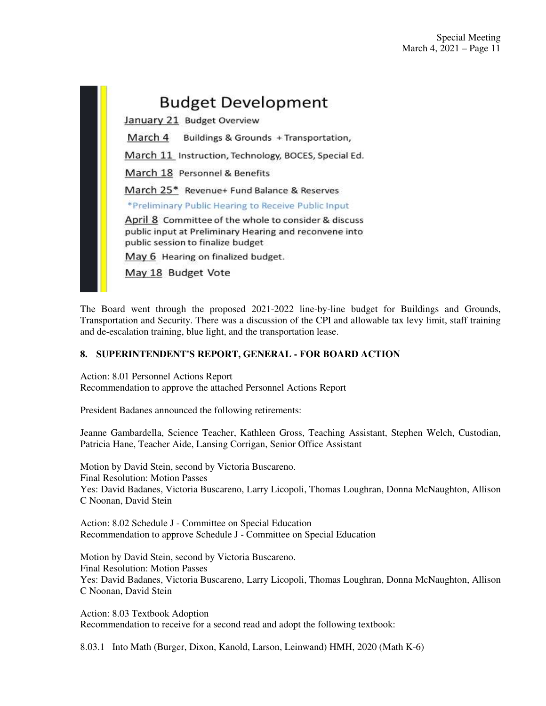# **Budget Development**

January 21 Budget Overview

March 4 Buildings & Grounds + Transportation,

March 11 Instruction, Technology, BOCES, Special Ed.

March 18 Personnel & Benefits

March 25\* Revenue+ Fund Balance & Reserves

\*Preliminary Public Hearing to Receive Public Input

April 8 Committee of the whole to consider & discuss public input at Preliminary Hearing and reconvene into public session to finalize budget

May 6 Hearing on finalized budget.

May 18 Budget Vote

The Board went through the proposed 2021-2022 line-by-line budget for Buildings and Grounds, Transportation and Security. There was a discussion of the CPI and allowable tax levy limit, staff training and de-escalation training, blue light, and the transportation lease.

## **8. SUPERINTENDENT'S REPORT, GENERAL - FOR BOARD ACTION**

Action: 8.01 Personnel Actions Report Recommendation to approve the attached Personnel Actions Report

President Badanes announced the following retirements:

Jeanne Gambardella, Science Teacher, Kathleen Gross, Teaching Assistant, Stephen Welch, Custodian, Patricia Hane, Teacher Aide, Lansing Corrigan, Senior Office Assistant

Motion by David Stein, second by Victoria Buscareno. Final Resolution: Motion Passes Yes: David Badanes, Victoria Buscareno, Larry Licopoli, Thomas Loughran, Donna McNaughton, Allison C Noonan, David Stein

Action: 8.02 Schedule J - Committee on Special Education Recommendation to approve Schedule J - Committee on Special Education

Motion by David Stein, second by Victoria Buscareno. Final Resolution: Motion Passes Yes: David Badanes, Victoria Buscareno, Larry Licopoli, Thomas Loughran, Donna McNaughton, Allison C Noonan, David Stein

Action: 8.03 Textbook Adoption Recommendation to receive for a second read and adopt the following textbook:

8.03.1 Into Math (Burger, Dixon, Kanold, Larson, Leinwand) HMH, 2020 (Math K-6)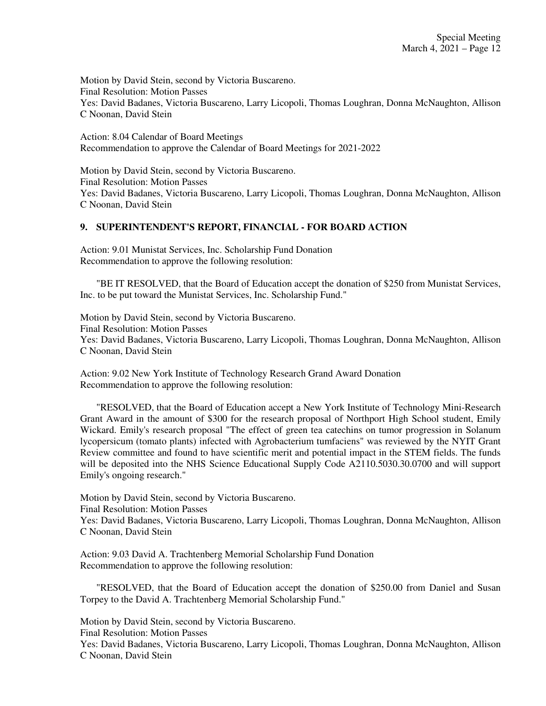Motion by David Stein, second by Victoria Buscareno. Final Resolution: Motion Passes Yes: David Badanes, Victoria Buscareno, Larry Licopoli, Thomas Loughran, Donna McNaughton, Allison C Noonan, David Stein

Action: 8.04 Calendar of Board Meetings Recommendation to approve the Calendar of Board Meetings for 2021-2022

Motion by David Stein, second by Victoria Buscareno. Final Resolution: Motion Passes Yes: David Badanes, Victoria Buscareno, Larry Licopoli, Thomas Loughran, Donna McNaughton, Allison C Noonan, David Stein

## **9. SUPERINTENDENT'S REPORT, FINANCIAL - FOR BOARD ACTION**

Action: 9.01 Munistat Services, Inc. Scholarship Fund Donation Recommendation to approve the following resolution:

 "BE IT RESOLVED, that the Board of Education accept the donation of \$250 from Munistat Services, Inc. to be put toward the Munistat Services, Inc. Scholarship Fund."

Motion by David Stein, second by Victoria Buscareno. Final Resolution: Motion Passes Yes: David Badanes, Victoria Buscareno, Larry Licopoli, Thomas Loughran, Donna McNaughton, Allison C Noonan, David Stein

Action: 9.02 New York Institute of Technology Research Grand Award Donation Recommendation to approve the following resolution:

 "RESOLVED, that the Board of Education accept a New York Institute of Technology Mini-Research Grant Award in the amount of \$300 for the research proposal of Northport High School student, Emily Wickard. Emily's research proposal "The effect of green tea catechins on tumor progression in Solanum lycopersicum (tomato plants) infected with Agrobacterium tumfaciens" was reviewed by the NYIT Grant Review committee and found to have scientific merit and potential impact in the STEM fields. The funds will be deposited into the NHS Science Educational Supply Code A2110.5030.30.0700 and will support Emily's ongoing research."

Motion by David Stein, second by Victoria Buscareno. Final Resolution: Motion Passes Yes: David Badanes, Victoria Buscareno, Larry Licopoli, Thomas Loughran, Donna McNaughton, Allison C Noonan, David Stein

Action: 9.03 David A. Trachtenberg Memorial Scholarship Fund Donation Recommendation to approve the following resolution:

 "RESOLVED, that the Board of Education accept the donation of \$250.00 from Daniel and Susan Torpey to the David A. Trachtenberg Memorial Scholarship Fund."

Motion by David Stein, second by Victoria Buscareno.

Final Resolution: Motion Passes

Yes: David Badanes, Victoria Buscareno, Larry Licopoli, Thomas Loughran, Donna McNaughton, Allison C Noonan, David Stein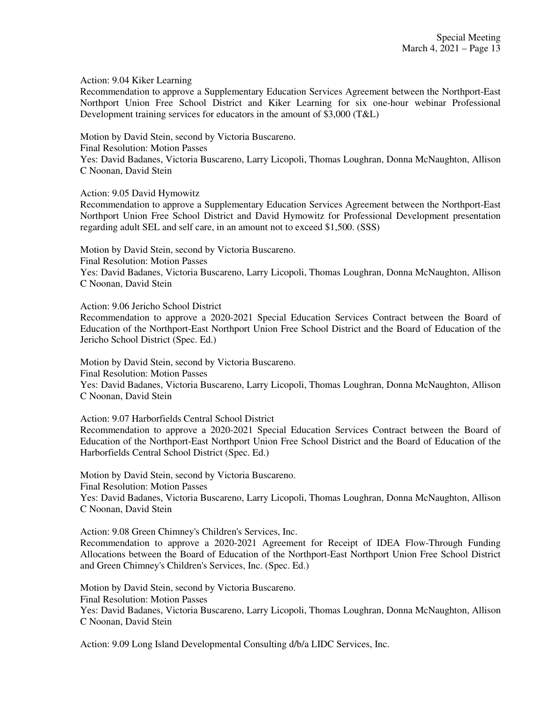Action: 9.04 Kiker Learning

Recommendation to approve a Supplementary Education Services Agreement between the Northport-East Northport Union Free School District and Kiker Learning for six one-hour webinar Professional Development training services for educators in the amount of \$3,000 (T&L)

Motion by David Stein, second by Victoria Buscareno.

Final Resolution: Motion Passes

Yes: David Badanes, Victoria Buscareno, Larry Licopoli, Thomas Loughran, Donna McNaughton, Allison C Noonan, David Stein

Action: 9.05 David Hymowitz

Recommendation to approve a Supplementary Education Services Agreement between the Northport-East Northport Union Free School District and David Hymowitz for Professional Development presentation regarding adult SEL and self care, in an amount not to exceed \$1,500. (SSS)

Motion by David Stein, second by Victoria Buscareno. Final Resolution: Motion Passes Yes: David Badanes, Victoria Buscareno, Larry Licopoli, Thomas Loughran, Donna McNaughton, Allison C Noonan, David Stein

Action: 9.06 Jericho School District

Recommendation to approve a 2020-2021 Special Education Services Contract between the Board of Education of the Northport-East Northport Union Free School District and the Board of Education of the Jericho School District (Spec. Ed.)

Motion by David Stein, second by Victoria Buscareno.

Final Resolution: Motion Passes

Yes: David Badanes, Victoria Buscareno, Larry Licopoli, Thomas Loughran, Donna McNaughton, Allison C Noonan, David Stein

Action: 9.07 Harborfields Central School District

Recommendation to approve a 2020-2021 Special Education Services Contract between the Board of Education of the Northport-East Northport Union Free School District and the Board of Education of the Harborfields Central School District (Spec. Ed.)

Motion by David Stein, second by Victoria Buscareno. Final Resolution: Motion Passes Yes: David Badanes, Victoria Buscareno, Larry Licopoli, Thomas Loughran, Donna McNaughton, Allison C Noonan, David Stein

Action: 9.08 Green Chimney's Children's Services, Inc.

Recommendation to approve a 2020-2021 Agreement for Receipt of IDEA Flow-Through Funding Allocations between the Board of Education of the Northport-East Northport Union Free School District and Green Chimney's Children's Services, Inc. (Spec. Ed.)

Motion by David Stein, second by Victoria Buscareno. Final Resolution: Motion Passes Yes: David Badanes, Victoria Buscareno, Larry Licopoli, Thomas Loughran, Donna McNaughton, Allison C Noonan, David Stein

Action: 9.09 Long Island Developmental Consulting d/b/a LIDC Services, Inc.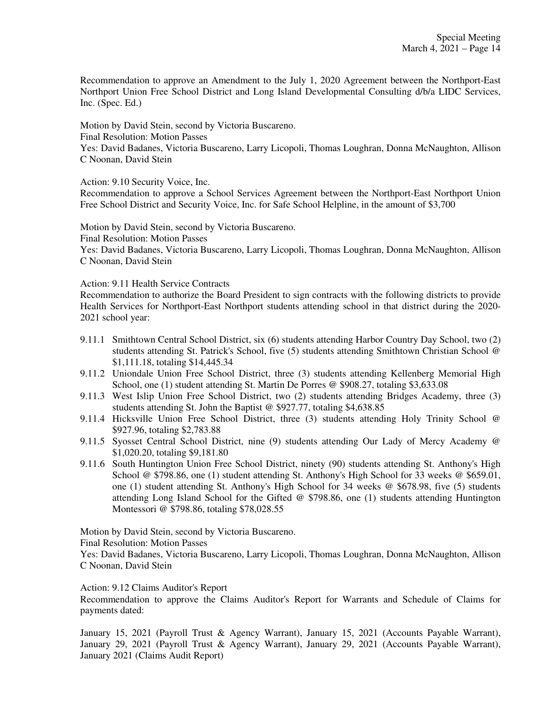Recommendation to approve an Amendment to the July 1, 2020 Agreement between the Northport-East Northport Union Free School District and Long Island Developmental Consulting d/b/a LIDC Services, Inc. (Spec. Ed.)

Motion by David Stein, second by Victoria Buscareno.

Final Resolution: Motion Passes

Yes: David Badanes, Victoria Buscareno, Larry Licopoli, Thomas Loughran, Donna McNaughton, Allison C Noonan, David Stein

Action: 9.10 Security Voice, Inc.

Recommendation to approve a School Services Agreement between the Northport-East Northport Union Free School District and Security Voice, Inc. for Safe School Helpline, in the amount of \$3,700

Motion by David Stein, second by Victoria Buscareno.

Final Resolution: Motion Passes

Yes: David Badanes, Victoria Buscareno, Larry Licopoli, Thomas Loughran, Donna McNaughton, Allison C Noonan, David Stein

Action: 9.11 Health Service Contracts

Recommendation to authorize the Board President to sign contracts with the following districts to provide Health Services for Northport-East Northport students attending school in that district during the 2020- 2021 school year:

- 9.11.1 Smithtown Central School District, six (6) students attending Harbor Country Day School, two (2) students attending St. Patrick's School, five (5) students attending Smithtown Christian School @ \$1,111.18, totaling \$14,445.34
- 9.11.2 Uniondale Union Free School District, three (3) students attending Kellenberg Memorial High School, one (1) student attending St. Martin De Porres @ \$908.27, totaling \$3,633.08
- 9.11.3 West Islip Union Free School District, two (2) students attending Bridges Academy, three (3) students attending St. John the Baptist @ \$927.77, totaling \$4,638.85
- 9.11.4 Hicksville Union Free School District, three (3) students attending Holy Trinity School @ \$927.96, totaling \$2,783.88
- 9.11.5 Syosset Central School District, nine (9) students attending Our Lady of Mercy Academy @ \$1,020.20, totaling \$9,181.80
- 9.11.6 South Huntington Union Free School District, ninety (90) students attending St. Anthony's High School @ \$798.86, one (1) student attending St. Anthony's High School for 33 weeks @ \$659.01, one (1) student attending St. Anthony's High School for 34 weeks @ \$678.98, five (5) students attending Long Island School for the Gifted @ \$798.86, one (1) students attending Huntington Montessori @ \$798.86, totaling \$78,028.55

Motion by David Stein, second by Victoria Buscareno.

Final Resolution: Motion Passes

Yes: David Badanes, Victoria Buscareno, Larry Licopoli, Thomas Loughran, Donna McNaughton, Allison C Noonan, David Stein

Action: 9.12 Claims Auditor's Report

Recommendation to approve the Claims Auditor's Report for Warrants and Schedule of Claims for payments dated:

January 15, 2021 (Payroll Trust & Agency Warrant), January 15, 2021 (Accounts Payable Warrant), January 29, 2021 (Payroll Trust & Agency Warrant), January 29, 2021 (Accounts Payable Warrant), January 2021 (Claims Audit Report)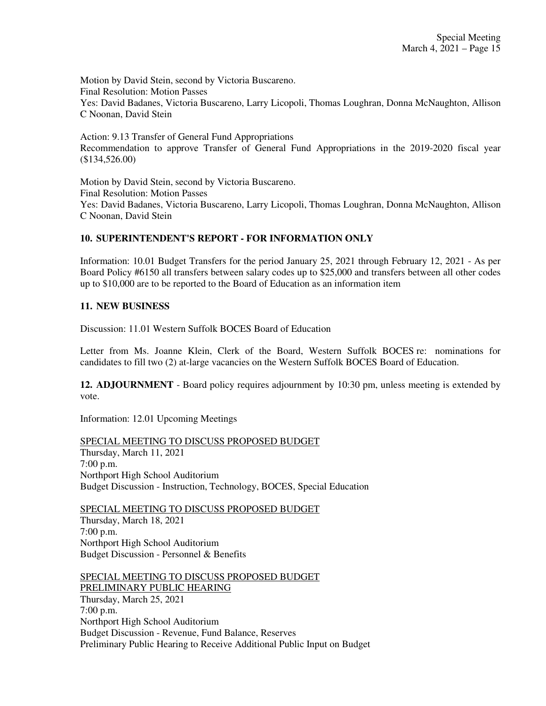Motion by David Stein, second by Victoria Buscareno. Final Resolution: Motion Passes Yes: David Badanes, Victoria Buscareno, Larry Licopoli, Thomas Loughran, Donna McNaughton, Allison C Noonan, David Stein

Action: 9.13 Transfer of General Fund Appropriations Recommendation to approve Transfer of General Fund Appropriations in the 2019-2020 fiscal year (\$134,526.00)

Motion by David Stein, second by Victoria Buscareno. Final Resolution: Motion Passes Yes: David Badanes, Victoria Buscareno, Larry Licopoli, Thomas Loughran, Donna McNaughton, Allison C Noonan, David Stein

## **10. SUPERINTENDENT'S REPORT - FOR INFORMATION ONLY**

Information: 10.01 Budget Transfers for the period January 25, 2021 through February 12, 2021 - As per Board Policy #6150 all transfers between salary codes up to \$25,000 and transfers between all other codes up to \$10,000 are to be reported to the Board of Education as an information item

### **11. NEW BUSINESS**

Discussion: 11.01 Western Suffolk BOCES Board of Education

Letter from Ms. Joanne Klein, Clerk of the Board, Western Suffolk BOCES re: nominations for candidates to fill two (2) at-large vacancies on the Western Suffolk BOCES Board of Education.

**12. ADJOURNMENT** - Board policy requires adjournment by 10:30 pm, unless meeting is extended by vote.

Information: 12.01 Upcoming Meetings

SPECIAL MEETING TO DISCUSS PROPOSED BUDGET Thursday, March 11, 2021 7:00 p.m. Northport High School Auditorium Budget Discussion - Instruction, Technology, BOCES, Special Education

SPECIAL MEETING TO DISCUSS PROPOSED BUDGET Thursday, March 18, 2021 7:00 p.m. Northport High School Auditorium Budget Discussion - Personnel & Benefits

SPECIAL MEETING TO DISCUSS PROPOSED BUDGET PRELIMINARY PUBLIC HEARING

Thursday, March 25, 2021 7:00 p.m. Northport High School Auditorium Budget Discussion - Revenue, Fund Balance, Reserves Preliminary Public Hearing to Receive Additional Public Input on Budget